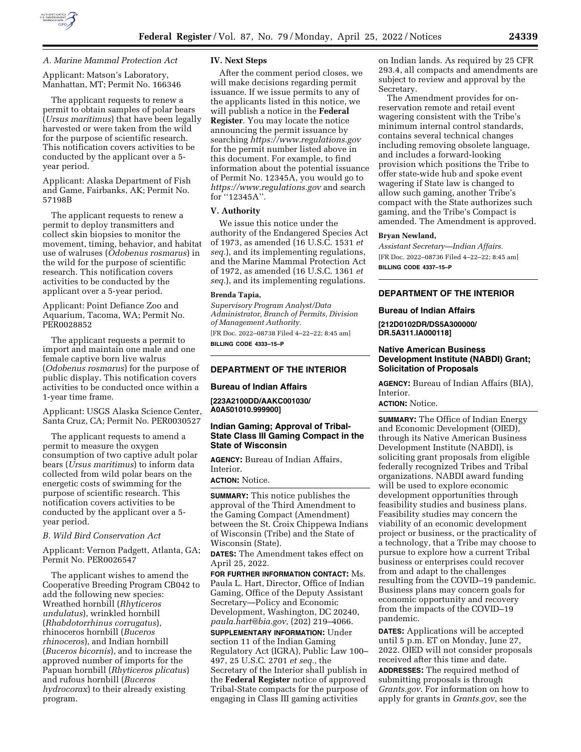

## *A. Marine Mammal Protection Act*

Applicant: Matson's Laboratory, Manhattan, MT; Permit No. 166346

The applicant requests to renew a permit to obtain samples of polar bears (*Ursus maritimus*) that have been legally harvested or were taken from the wild for the purpose of scientific research. This notification covers activities to be conducted by the applicant over a 5 year period.

Applicant: Alaska Department of Fish and Game, Fairbanks, AK; Permit No. 57198B

The applicant requests to renew a permit to deploy transmitters and collect skin biopsies to monitor the movement, timing, behavior, and habitat use of walruses (*Odobenus rosmarus*) in the wild for the purpose of scientific research. This notification covers activities to be conducted by the applicant over a 5-year period.

Applicant: Point Defiance Zoo and Aquarium, Tacoma, WA; Permit No. PER0028852

The applicant requests a permit to import and maintain one male and one female captive born live walrus (*Odobenus rosmarus*) for the purpose of public display. This notification covers activities to be conducted once within a 1-year time frame.

Applicant: USGS Alaska Science Center, Santa Cruz, CA; Permit No. PER0030527

The applicant requests to amend a permit to measure the oxygen consumption of two captive adult polar bears (*Ursus maritimus*) to inform data collected from wild polar bears on the energetic costs of swimming for the purpose of scientific research. This notification covers activities to be conducted by the applicant over a 5 year period.

# *B. Wild Bird Conservation Act*

Applicant: Vernon Padgett, Atlanta, GA; Permit No. PER0026547

The applicant wishes to amend the Cooperative Breeding Program CB042 to add the following new species: Wreathed hornbill (*Rhyticeros undulatus*), wrinkled hornbill (*Rhabdotorrhinus corrugatus*), rhinoceros hornbill (*Buceros rhinoceros*), and Indian hornbill (*Buceros bicornis*), and to increase the approved number of imports for the Papuan hornbill (*Rhyticeros plicatus*) and rufous hornbill (*Buceros hydrocorax*) to their already existing program.

#### **IV. Next Steps**

After the comment period closes, we will make decisions regarding permit issuance. If we issue permits to any of the applicants listed in this notice, we will publish a notice in the **Federal Register**. You may locate the notice announcing the permit issuance by searching *<https://www.regulations.gov>*  for the permit number listed above in this document. For example, to find information about the potential issuance of Permit No. 12345A, you would go to *<https://www.regulations.gov>* and search for ''12345A''.

#### **V. Authority**

We issue this notice under the authority of the Endangered Species Act of 1973, as amended (16 U.S.C. 1531 *et seq.*), and its implementing regulations, and the Marine Mammal Protection Act of 1972, as amended (16 U.S.C. 1361 *et seq.*), and its implementing regulations.

#### **Brenda Tapia,**

*Supervisory Program Analyst/Data Administrator, Branch of Permits, Division of Management Authority.*  [FR Doc. 2022–08738 Filed 4–22–22; 8:45 am]

**BILLING CODE 4333–15–P** 

# **DEPARTMENT OF THE INTERIOR**

#### **Bureau of Indian Affairs**

**[223A2100DD/AAKC001030/ A0A501010.999900]** 

# **Indian Gaming; Approval of Tribal-State Class III Gaming Compact in the State of Wisconsin**

**AGENCY:** Bureau of Indian Affairs, Interior.

# **ACTION:** Notice.

**SUMMARY:** This notice publishes the approval of the Third Amendment to the Gaming Compact (Amendment) between the St. Croix Chippewa Indians of Wisconsin (Tribe) and the State of Wisconsin (State).

**DATES:** The Amendment takes effect on April 25, 2022.

**FOR FURTHER INFORMATION CONTACT:** Ms. Paula L. Hart, Director, Office of Indian Gaming, Office of the Deputy Assistant Secretary—Policy and Economic Development, Washington, DC 20240, *[paula.hart@bia.gov,](mailto:paula.hart@bia.gov)* (202) 219–4066. **SUPPLEMENTARY INFORMATION:** Under section 11 of the Indian Gaming Regulatory Act (IGRA), Public Law 100– 497, 25 U.S.C. 2701 *et seq.,* the Secretary of the Interior shall publish in the **Federal Register** notice of approved Tribal-State compacts for the purpose of engaging in Class III gaming activities

on Indian lands. As required by 25 CFR 293.4, all compacts and amendments are subject to review and approval by the Secretary.

The Amendment provides for onreservation remote and retail event wagering consistent with the Tribe's minimum internal control standards, contains several technical changes including removing obsolete language, and includes a forward-looking provision which positions the Tribe to offer state-wide hub and spoke event wagering if State law is changed to allow such gaming, another Tribe's compact with the State authorizes such gaming, and the Tribe's Compact is amended. The Amendment is approved.

#### **Bryan Newland,**

*Assistant Secretary—Indian Affairs.*  [FR Doc. 2022–08736 Filed 4–22–22; 8:45 am] **BILLING CODE 4337–15–P** 

# **DEPARTMENT OF THE INTERIOR**

#### **Bureau of Indian Affairs**

**[212D0102DR/DS5A300000/ DR.5A311.IA000118]** 

# **Native American Business Development Institute (NABDI) Grant; Solicitation of Proposals**

**AGENCY:** Bureau of Indian Affairs (BIA), Interior.

# **ACTION:** Notice.

**SUMMARY:** The Office of Indian Energy and Economic Development (OIED), through its Native American Business Development Institute (NABDI), is soliciting grant proposals from eligible federally recognized Tribes and Tribal organizations. NABDI award funding will be used to explore economic development opportunities through feasibility studies and business plans. Feasibility studies may concern the viability of an economic development project or business, or the practicality of a technology, that a Tribe may choose to pursue to explore how a current Tribal business or enterprises could recover from and adapt to the challenges resulting from the COVID–19 pandemic. Business plans may concern goals for economic opportunity and recovery from the impacts of the COVID–19 pandemic.

**DATES:** Applications will be accepted until 5 p.m. ET on Monday, June 27, 2022. OIED will not consider proposals received after this time and date. **ADDRESSES:** The required method of submitting proposals is through *Grants.gov*. For information on how to apply for grants in *Grants.gov*, see the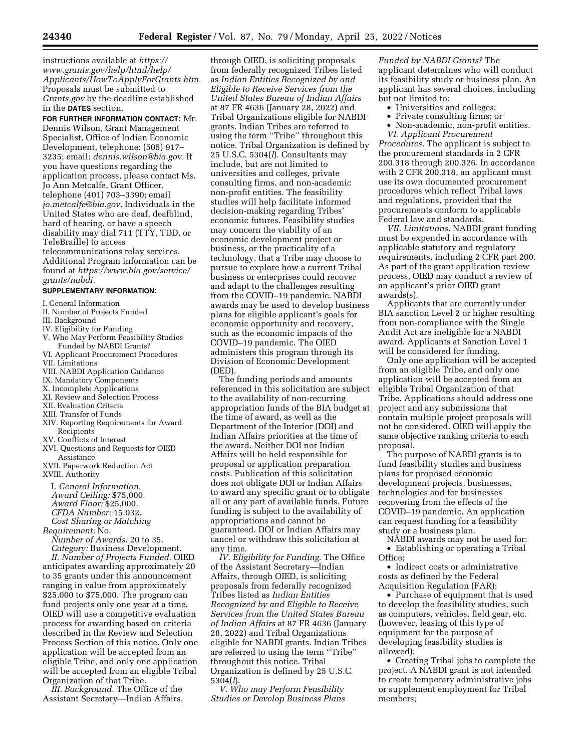instructions available at *[https://](https://www.grants.gov/help/html/help/Applicants/HowToApplyForGrants.htm) [www.grants.gov/help/html/help/](https://www.grants.gov/help/html/help/Applicants/HowToApplyForGrants.htm) [Applicants/HowToApplyForGrants.htm.](https://www.grants.gov/help/html/help/Applicants/HowToApplyForGrants.htm)*  Proposals must be submitted to *Grants.gov* by the deadline established in the **DATES** section.

**FOR FURTHER INFORMATION CONTACT:** Mr. Dennis Wilson, Grant Management Specialist, Office of Indian Economic Development, telephone: (505) 917– 3235; email: *[dennis.wilson@bia.gov.](mailto:dennis.wilson@bia.gov)* If you have questions regarding the application process, please contact Ms. Jo Ann Metcalfe, Grant Officer, telephone (401) 703–3390; email *[jo.metcalfe@bia.gov.](mailto:jo.metcalfe@bia.gov)* Individuals in the United States who are deaf, deafblind, hard of hearing, or have a speech disability may dial 711 (TTY, TDD, or TeleBraille) to access telecommunications relay services. Additional Program information can be found at *[https://www.bia.gov/service/](https://www.bia.gov/service/grants/nabdi) [grants/nabdi.](https://www.bia.gov/service/grants/nabdi)* 

#### **SUPPLEMENTARY INFORMATION:**

- I. General Information
- II. Number of Projects Funded
- III. Background
- IV. Eligibility for Funding
- V. Who May Perform Feasibility Studies Funded by NABDI Grants?
- VI. Applicant Procurement Procedures
- VII. Limitations
- VIII. NABDI Application Guidance
- IX. Mandatory Components
- X. Incomplete Applications
- XI. Review and Selection Process
- XII. Evaluation Criteria
- XIII. Transfer of Funds
- XIV. Reporting Requirements for Award Recipients
- XV. Conflicts of Interest
- XVI. Questions and Requests for OIED Assistance
- XVII. Paperwork Reduction Act XVIII. Authority

I. *General Information. Award Ceiling:* \$75,000. *Award Floor:* \$25,000. *CFDA Number:* 15.032. *Cost Sharing or Matching* 

- 
- *Requirement:* No. *Number of Awards:* 20 to 35.

*Category:* Business Development. *II. Number of Projects Funded.* OIED anticipates awarding approximately 20 to 35 grants under this announcement ranging in value from approximately \$25,000 to \$75,000. The program can fund projects only one year at a time. OIED will use a competitive evaluation process for awarding based on criteria described in the Review and Selection Process Section of this notice. Only one application will be accepted from an eligible Tribe, and only one application will be accepted from an eligible Tribal Organization of that Tribe.

*III. Background.* The Office of the Assistant Secretary—Indian Affairs,

through OIED, is soliciting proposals from federally recognized Tribes listed as *Indian Entities Recognized by and Eligible to Receive Services from the United States Bureau of Indian Affairs*  at 87 FR 4636 (January 28, 2022) and Tribal Organizations eligible for NABDI grants. Indian Tribes are referred to using the term ''Tribe'' throughout this notice. Tribal Organization is defined by 25 U.S.C. 5304(*l*). Consultants may include, but are not limited to universities and colleges, private consulting firms, and non-academic non-profit entities. The feasibility studies will help facilitate informed decision-making regarding Tribes' economic futures. Feasibility studies may concern the viability of an economic development project or business, or the practicality of a technology, that a Tribe may choose to pursue to explore how a current Tribal business or enterprises could recover and adapt to the challenges resulting from the COVID–19 pandemic. NABDI awards may be used to develop business plans for eligible applicant's goals for economic opportunity and recovery, such as the economic impacts of the COVID–19 pandemic. The OIED administers this program through its Division of Economic Development (DED).

The funding periods and amounts referenced in this solicitation are subject to the availability of non-recurring appropriation funds of the BIA budget at the time of award, as well as the Department of the Interior (DOI) and Indian Affairs priorities at the time of the award. Neither DOI nor Indian Affairs will be held responsible for proposal or application preparation costs. Publication of this solicitation does not obligate DOI or Indian Affairs to award any specific grant or to obligate all or any part of available funds. Future funding is subject to the availability of appropriations and cannot be guaranteed. DOI or Indian Affairs may cancel or withdraw this solicitation at any time.

*IV. Eligibility for Funding.* The Office of the Assistant Secretary—Indian Affairs, through OIED, is soliciting proposals from federally recognized Tribes listed as *Indian Entities Recognized by and Eligible to Receive Services from the United States Bureau of Indian Affairs* at 87 FR 4636 (January 28, 2022) and Tribal Organizations eligible for NABDI grants. Indian Tribes are referred to using the term ''Tribe'' throughout this notice. Tribal Organization is defined by 25 U.S.C. 5304(*l*).

*V. Who may Perform Feasibility Studies or Develop Business Plans* 

*Funded by NABDI Grants?* The applicant determines who will conduct its feasibility study or business plan. An applicant has several choices, including but not limited to:

- Universities and colleges;
- Private consulting firms; or
- Non-academic, non-profit entities. *VI. Applicant Procurement*

*Procedures.* The applicant is subject to the procurement standards in 2 CFR 200.318 through 200.326. In accordance with 2 CFR 200.318, an applicant must use its own documented procurement procedures which reflect Tribal laws and regulations, provided that the procurements conform to applicable Federal law and standards.

*VII. Limitations.* NABDI grant funding must be expended in accordance with applicable statutory and regulatory requirements, including 2 CFR part 200. As part of the grant application review process, OIED may conduct a review of an applicant's prior OIED grant awards(s).

Applicants that are currently under BIA sanction Level 2 or higher resulting from non-compliance with the Single Audit Act are ineligible for a NABDI award. Applicants at Sanction Level 1 will be considered for funding.

Only one application will be accepted from an eligible Tribe, and only one application will be accepted from an eligible Tribal Organization of that Tribe. Applications should address one project and any submissions that contain multiple project proposals will not be considered. OIED will apply the same objective ranking criteria to each proposal.

The purpose of NABDI grants is to fund feasibility studies and business plans for proposed economic development projects, businesses, technologies and for businesses recovering from the effects of the COVID–19 pandemic. An application can request funding for a feasibility study or a business plan.

NABDI awards may not be used for: • Establishing or operating a Tribal Office;

• Indirect costs or administrative costs as defined by the Federal Acquisition Regulation (FAR);

• Purchase of equipment that is used to develop the feasibility studies, such as computers, vehicles, field gear, etc. (however, leasing of this type of equipment for the purpose of developing feasibility studies is allowed);

• Creating Tribal jobs to complete the project. A NABDI grant is not intended to create temporary administrative jobs or supplement employment for Tribal members;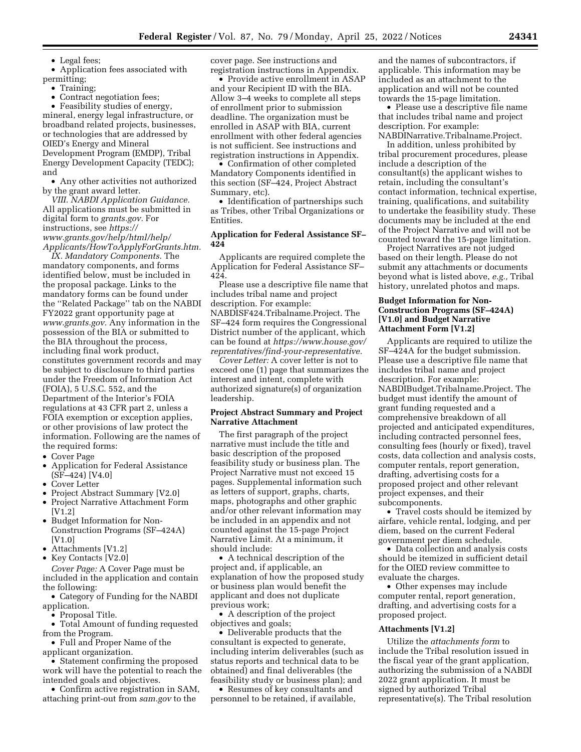• Legal fees;

• Application fees associated with permitting;

• Training;

• Contract negotiation fees;

• Feasibility studies of energy, mineral, energy legal infrastructure, or broadband related projects, businesses, or technologies that are addressed by OIED's Energy and Mineral Development Program (EMDP), Tribal Energy Development Capacity (TEDC); and

• Any other activities not authorized by the grant award letter.

*VIII. NABDI Application Guidance.*  All applications must be submitted in digital form to *grants.gov.* For instructions, see *[https://](https://www.grants.gov/help/html/help/Applicants/HowToApplyForGrants.htm) [www.grants.gov/help/html/help/](https://www.grants.gov/help/html/help/Applicants/HowToApplyForGrants.htm) [Applicants/HowToApplyForGrants.htm.](https://www.grants.gov/help/html/help/Applicants/HowToApplyForGrants.htm)* 

*IX. Mandatory Components.* The mandatory components, and forms identified below, must be included in the proposal package. Links to the mandatory forms can be found under the ''Related Package'' tab on the NABDI FY2022 grant opportunity page at *[www.grants.gov.](http://www.grants.gov)* Any information in the possession of the BIA or submitted to the BIA throughout the process, including final work product, constitutes government records and may be subject to disclosure to third parties under the Freedom of Information Act (FOIA), 5 U.S.C. 552, and the Department of the Interior's FOIA regulations at 43 CFR part 2, unless a FOIA exemption or exception applies, or other provisions of law protect the information. Following are the names of the required forms:

- Cover Page
- Application for Federal Assistance (SF–424) [V4.0]
- Cover Letter
- Project Abstract Summary [V2.0]
- Project Narrative Attachment Form [V1.2]
- Budget Information for Non-Construction Programs (SF–424A) [V1.0]
- Attachments [V1.2]
- Key Contacts [V2.0]

*Cover Page:* A Cover Page must be included in the application and contain the following:

• Category of Funding for the NABDI application.

• Proposal Title.

• Total Amount of funding requested from the Program.

• Full and Proper Name of the applicant organization.

• Statement confirming the proposed

work will have the potential to reach the intended goals and objectives.

• Confirm active registration in SAM, attaching print-out from *sam.gov* to the

cover page. See instructions and registration instructions in Appendix.

• Provide active enrollment in ASAP and your Recipient ID with the BIA. Allow 3–4 weeks to complete all steps of enrollment prior to submission deadline. The organization must be enrolled in ASAP with BIA, current enrollment with other federal agencies is not sufficient. See instructions and registration instructions in Appendix.

• Confirmation of other completed Mandatory Components identified in this section (SF–424, Project Abstract Summary, etc).

• Identification of partnerships such as Tribes, other Tribal Organizations or Entities.

## **Application for Federal Assistance SF– 424**

Applicants are required complete the Application for Federal Assistance SF– 424.

Please use a descriptive file name that includes tribal name and project description. For example: NABDISF424.Tribalname.Project. The SF–424 form requires the Congressional District number of the applicant, which can be found at *[https://www.house.gov/](https://www.house.gov/reprentatives/find-your-representative) [reprentatives/find-your-representative.](https://www.house.gov/reprentatives/find-your-representative)* 

*Cover Letter:* A cover letter is not to exceed one (1) page that summarizes the interest and intent, complete with authorized signature(s) of organization leadership.

## **Project Abstract Summary and Project Narrative Attachment**

The first paragraph of the project narrative must include the title and basic description of the proposed feasibility study or business plan. The Project Narrative must not exceed 15 pages. Supplemental information such as letters of support, graphs, charts, maps, photographs and other graphic and/or other relevant information may be included in an appendix and not counted against the 15-page Project Narrative Limit. At a minimum, it should include:

• A technical description of the project and, if applicable, an explanation of how the proposed study or business plan would benefit the applicant and does not duplicate previous work;

• A description of the project objectives and goals;

• Deliverable products that the consultant is expected to generate, including interim deliverables (such as status reports and technical data to be obtained) and final deliverables (the feasibility study or business plan); and

• Resumes of key consultants and personnel to be retained, if available, and the names of subcontractors, if applicable. This information may be included as an attachment to the application and will not be counted towards the 15-page limitation.

• Please use a descriptive file name that includes tribal name and project description. For example: NABDINarrative.Tribalname.Project.

In addition, unless prohibited by tribal procurement procedures, please include a description of the consultant(s) the applicant wishes to retain, including the consultant's contact information, technical expertise, training, qualifications, and suitability to undertake the feasibility study. These documents may be included at the end of the Project Narrative and will not be counted toward the 15-page limitation.

Project Narratives are not judged based on their length. Please do not submit any attachments or documents beyond what is listed above, *e.g.,* Tribal history, unrelated photos and maps.

# **Budget Information for Non-Construction Programs (SF–424A) [V1.0] and Budget Narrative Attachment Form [V1.2]**

Applicants are required to utilize the SF–424A for the budget submission. Please use a descriptive file name that includes tribal name and project description. For example: NABDIBudget.Tribalname.Project. The budget must identify the amount of grant funding requested and a comprehensive breakdown of all projected and anticipated expenditures, including contracted personnel fees, consulting fees (hourly or fixed), travel costs, data collection and analysis costs, computer rentals, report generation, drafting, advertising costs for a proposed project and other relevant project expenses, and their subcomponents.

• Travel costs should be itemized by airfare, vehicle rental, lodging, and per diem, based on the current Federal government per diem schedule.

• Data collection and analysis costs should be itemized in sufficient detail for the OIED review committee to evaluate the charges.

• Other expenses may include computer rental, report generation, drafting, and advertising costs for a proposed project.

## **Attachments [V1.2]**

Utilize the *attachments form* to include the Tribal resolution issued in the fiscal year of the grant application, authorizing the submission of a NABDI 2022 grant application. It must be signed by authorized Tribal representative(s). The Tribal resolution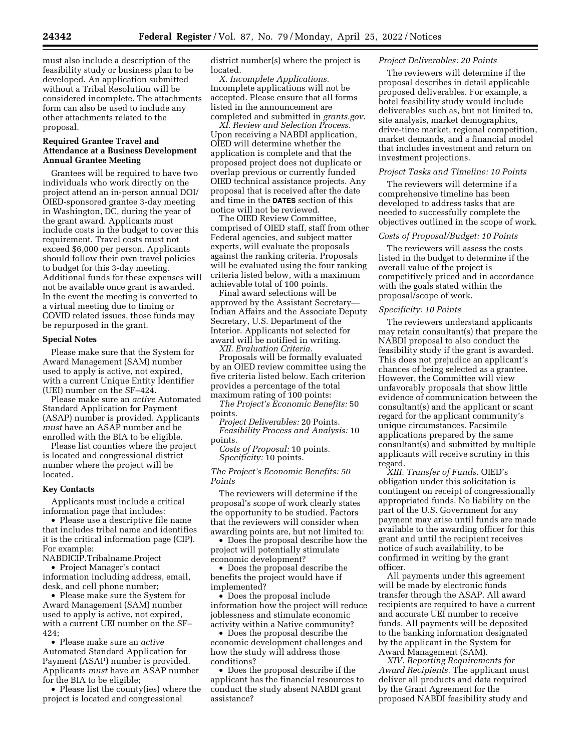must also include a description of the feasibility study or business plan to be developed. An application submitted without a Tribal Resolution will be considered incomplete. The attachments form can also be used to include any other attachments related to the proposal.

## **Required Grantee Travel and Attendance at a Business Development Annual Grantee Meeting**

Grantees will be required to have two individuals who work directly on the project attend an in-person annual DOI/ OIED-sponsored grantee 3-day meeting in Washington, DC, during the year of the grant award. Applicants must include costs in the budget to cover this requirement. Travel costs must not exceed \$6,000 per person. Applicants should follow their own travel policies to budget for this 3-day meeting. Additional funds for these expenses will not be available once grant is awarded. In the event the meeting is converted to a virtual meeting due to timing or COVID related issues, those funds may be repurposed in the grant.

## **Special Notes**

Please make sure that the System for Award Management (SAM) number used to apply is active, not expired, with a current Unique Entity Identifier (UEI) number on the SF–424.

Please make sure an *active* Automated Standard Application for Payment (ASAP) number is provided. Applicants *must* have an ASAP number and be enrolled with the BIA to be eligible.

Please list counties where the project is located and congressional district number where the project will be located.

#### **Key Contacts**

Applicants must include a critical information page that includes:

• Please use a descriptive file name that includes tribal name and identifies it is the critical information page (CIP). For example:

NABDICIP.Tribalname.Project

• Project Manager's contact information including address, email, desk, and cell phone number;

• Please make sure the System for Award Management (SAM) number used to apply is active, not expired, with a current UEI number on the SF– 424;

• Please make sure an *active*  Automated Standard Application for Payment (ASAP) number is provided. Applicants *must* have an ASAP number for the BIA to be eligible;

• Please list the county(ies) where the project is located and congressional

district number(s) where the project is located.

*X. Incomplete Applications.*  Incomplete applications will not be accepted. Please ensure that all forms listed in the announcement are completed and submitted in *grants.gov*.

*XI. Review and Selection Process.*  Upon receiving a NABDI application, OIED will determine whether the application is complete and that the proposed project does not duplicate or overlap previous or currently funded OIED technical assistance projects. Any proposal that is received after the date and time in the **DATES** section of this notice will not be reviewed.

The OIED Review Committee, comprised of OIED staff, staff from other Federal agencies, and subject matter experts, will evaluate the proposals against the ranking criteria. Proposals will be evaluated using the four ranking criteria listed below, with a maximum achievable total of 100 points.

Final award selections will be approved by the Assistant Secretary— Indian Affairs and the Associate Deputy Secretary, U.S. Department of the Interior. Applicants not selected for award will be notified in writing.

*XII. Evaluation Criteria.*  Proposals will be formally evaluated by an OIED review committee using the five criteria listed below. Each criterion provides a percentage of the total maximum rating of 100 points:

*The Project's Economic Benefits:* 50 points.

*Project Deliverables:* 20 Points. *Feasibility Process and Analysis:* 10 points.

*Costs of Proposal:* 10 points. *Specificity:* 10 points.

## *The Project's Economic Benefits: 50 Points*

The reviewers will determine if the proposal's scope of work clearly states the opportunity to be studied. Factors that the reviewers will consider when awarding points are, but not limited to:

• Does the proposal describe how the project will potentially stimulate economic development?

• Does the proposal describe the benefits the project would have if implemented?

• Does the proposal include information how the project will reduce joblessness and stimulate economic activity within a Native community?

• Does the proposal describe the economic development challenges and how the study will address those conditions?

• Does the proposal describe if the applicant has the financial resources to conduct the study absent NABDI grant assistance?

# *Project Deliverables: 20 Points*

The reviewers will determine if the proposal describes in detail applicable proposed deliverables. For example, a hotel feasibility study would include deliverables such as, but not limited to, site analysis, market demographics, drive-time market, regional competition, market demands, and a financial model that includes investment and return on investment projections.

#### *Project Tasks and Timeline: 10 Points*

The reviewers will determine if a comprehensive timeline has been developed to address tasks that are needed to successfully complete the objectives outlined in the scope of work.

## *Costs of Proposal/Budget: 10 Points*

The reviewers will assess the costs listed in the budget to determine if the overall value of the project is competitively priced and in accordance with the goals stated within the proposal/scope of work.

#### *Specificity: 10 Points*

The reviewers understand applicants may retain consultant(s) that prepare the NABDI proposal to also conduct the feasibility study if the grant is awarded. This does not prejudice an applicant's chances of being selected as a grantee. However, the Committee will view unfavorably proposals that show little evidence of communication between the consultant(s) and the applicant or scant regard for the applicant community's unique circumstances. Facsimile applications prepared by the same consultant(s) and submitted by multiple applicants will receive scrutiny in this regard.

*XIII. Transfer of Funds.* OIED's obligation under this solicitation is contingent on receipt of congressionally appropriated funds. No liability on the part of the U.S. Government for any payment may arise until funds are made available to the awarding officer for this grant and until the recipient receives notice of such availability, to be confirmed in writing by the grant officer.

All payments under this agreement will be made by electronic funds transfer through the ASAP. All award recipients are required to have a current and accurate UEI number to receive funds. All payments will be deposited to the banking information designated by the applicant in the System for Award Management (SAM).

*XIV. Reporting Requirements for Award Recipients.* The applicant must deliver all products and data required by the Grant Agreement for the proposed NABDI feasibility study and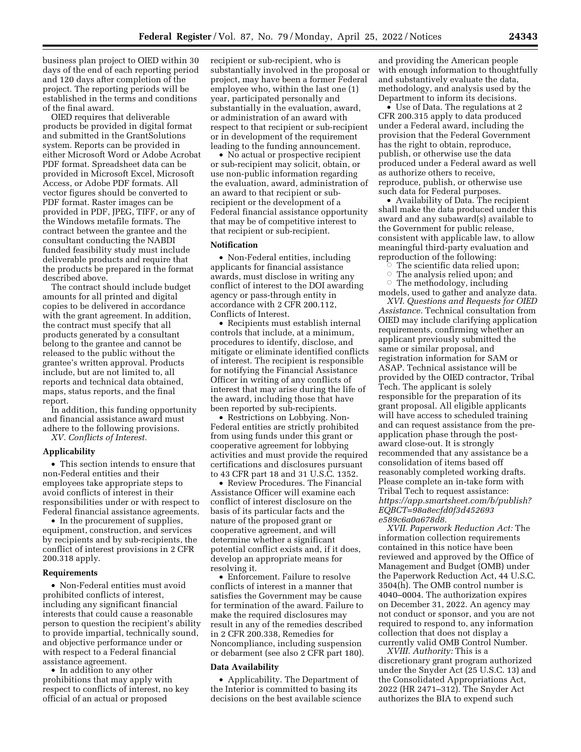business plan project to OIED within 30 days of the end of each reporting period and 120 days after completion of the project. The reporting periods will be established in the terms and conditions of the final award.

OIED requires that deliverable products be provided in digital format and submitted in the GrantSolutions system. Reports can be provided in either Microsoft Word or Adobe Acrobat PDF format. Spreadsheet data can be provided in Microsoft Excel, Microsoft Access, or Adobe PDF formats. All vector figures should be converted to PDF format. Raster images can be provided in PDF, JPEG, TIFF, or any of the Windows metafile formats. The contract between the grantee and the consultant conducting the NABDI funded feasibility study must include deliverable products and require that the products be prepared in the format described above.

The contract should include budget amounts for all printed and digital copies to be delivered in accordance with the grant agreement. In addition, the contract must specify that all products generated by a consultant belong to the grantee and cannot be released to the public without the grantee's written approval. Products include, but are not limited to, all reports and technical data obtained, maps, status reports, and the final report.

In addition, this funding opportunity and financial assistance award must adhere to the following provisions.

*XV. Conflicts of Interest.* 

## **Applicability**

• This section intends to ensure that non-Federal entities and their employees take appropriate steps to avoid conflicts of interest in their responsibilities under or with respect to Federal financial assistance agreements.

• In the procurement of supplies, equipment, construction, and services by recipients and by sub-recipients, the conflict of interest provisions in 2 CFR 200.318 apply.

# **Requirements**

• Non-Federal entities must avoid prohibited conflicts of interest, including any significant financial interests that could cause a reasonable person to question the recipient's ability to provide impartial, technically sound, and objective performance under or with respect to a Federal financial assistance agreement.

• In addition to any other prohibitions that may apply with respect to conflicts of interest, no key official of an actual or proposed

recipient or sub-recipient, who is substantially involved in the proposal or project, may have been a former Federal employee who, within the last one (1) year, participated personally and substantially in the evaluation, award, or administration of an award with respect to that recipient or sub-recipient or in development of the requirement leading to the funding announcement.

• No actual or prospective recipient or sub-recipient may solicit, obtain, or use non-public information regarding the evaluation, award, administration of an award to that recipient or subrecipient or the development of a Federal financial assistance opportunity that may be of competitive interest to that recipient or sub-recipient.

## **Notification**

• Non-Federal entities, including applicants for financial assistance awards, must disclose in writing any conflict of interest to the DOI awarding agency or pass-through entity in accordance with 2 CFR 200.112, Conflicts of Interest.

• Recipients must establish internal controls that include, at a minimum, procedures to identify, disclose, and mitigate or eliminate identified conflicts of interest. The recipient is responsible for notifying the Financial Assistance Officer in writing of any conflicts of interest that may arise during the life of the award, including those that have been reported by sub-recipients.

• Restrictions on Lobbying. Non-Federal entities are strictly prohibited from using funds under this grant or cooperative agreement for lobbying activities and must provide the required certifications and disclosures pursuant to 43 CFR part 18 and 31 U.S.C. 1352.

• Review Procedures. The Financial Assistance Officer will examine each conflict of interest disclosure on the basis of its particular facts and the nature of the proposed grant or cooperative agreement, and will determine whether a significant potential conflict exists and, if it does, develop an appropriate means for resolving it.

• Enforcement. Failure to resolve conflicts of interest in a manner that satisfies the Government may be cause for termination of the award. Failure to make the required disclosures may result in any of the remedies described in 2 CFR 200.338, Remedies for Noncompliance, including suspension or debarment (see also 2 CFR part 180).

#### **Data Availability**

• Applicability. The Department of the Interior is committed to basing its decisions on the best available science and providing the American people with enough information to thoughtfully and substantively evaluate the data, methodology, and analysis used by the Department to inform its decisions.

• Use of Data. The regulations at 2 CFR 200.315 apply to data produced under a Federal award, including the provision that the Federal Government has the right to obtain, reproduce, publish, or otherwise use the data produced under a Federal award as well as authorize others to receive, reproduce, publish, or otherwise use such data for Federal purposes.

• Availability of Data. The recipient shall make the data produced under this award and any subaward(s) available to the Government for public release, consistent with applicable law, to allow meaningful third-party evaluation and reproduction of the following:

ÆThe scientific data relied upon;

ÆThe analysis relied upon; and

 $\circ$  The methodology, including models, used to gather and analyze data.

*XVI. Questions and Requests for OIED Assistance.* Technical consultation from OIED may include clarifying application requirements, confirming whether an applicant previously submitted the same or similar proposal, and registration information for SAM or ASAP. Technical assistance will be provided by the OIED contractor, Tribal Tech. The applicant is solely responsible for the preparation of its grant proposal. All eligible applicants will have access to scheduled training and can request assistance from the preapplication phase through the postaward close-out. It is strongly recommended that any assistance be a consolidation of items based off reasonably completed working drafts. Please complete an in-take form with Tribal Tech to request assistance: *[https://app.smartsheet.com/b/publish?](https://app.smartsheet.com/b/publish?EQBCT=98a8ecfd0f3d452693e589c6a0a678d8) [EQBCT=98a8ecfd0f3d452693](https://app.smartsheet.com/b/publish?EQBCT=98a8ecfd0f3d452693e589c6a0a678d8) [e589c6a0a678d8.](https://app.smartsheet.com/b/publish?EQBCT=98a8ecfd0f3d452693e589c6a0a678d8)* 

*XVII. Paperwork Reduction Act:* The information collection requirements contained in this notice have been reviewed and approved by the Office of Management and Budget (OMB) under the Paperwork Reduction Act, 44 U.S.C. 3504(h). The OMB control number is 4040–0004. The authorization expires on December 31, 2022. An agency may not conduct or sponsor, and you are not required to respond to, any information collection that does not display a currently valid OMB Control Number.

*XVIII. Authority:* This is a discretionary grant program authorized under the Snyder Act (25 U.S.C. 13) and the Consolidated Appropriations Act, 2022 (HR 2471–312). The Snyder Act authorizes the BIA to expend such